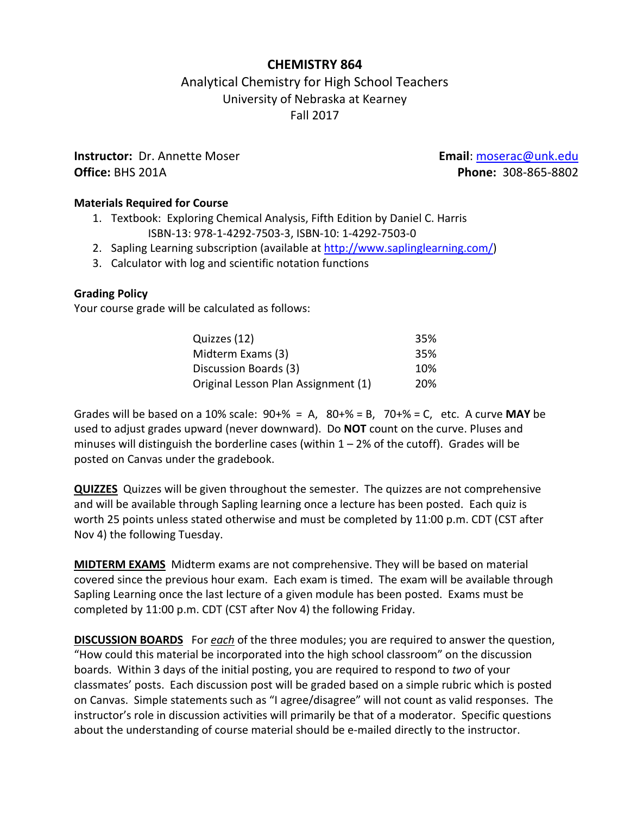## **CHEMISTRY 864**

# Analytical Chemistry for High School Teachers University of Nebraska at Kearney Fall 2017

**Instructor:** Dr. Annette Moser **Email**: [moserac@unk.edu](mailto:moserac@unk.edu) **Office:** BHS 201A **Phone:** 308-865-8802

## **Materials Required for Course**

- 1. Textbook: Exploring Chemical Analysis, Fifth Edition by Daniel C. Harris ISBN-13: 978-1-4292-7503-3, ISBN-10: 1-4292-7503-0
- 2. Sapling Learning subscription (available at [http://www.saplinglearning.com/\)](http://www.saplinglearning.com/)
- 3. Calculator with log and scientific notation functions

## **Grading Policy**

Your course grade will be calculated as follows:

| Quizzes (12)                        | 35%        |
|-------------------------------------|------------|
| Midterm Exams (3)                   | 35%        |
| Discussion Boards (3)               | 10%        |
| Original Lesson Plan Assignment (1) | <b>20%</b> |

Grades will be based on a 10% scale: 90+% = A, 80+% = B, 70+% = C, etc. A curve **MAY** be used to adjust grades upward (never downward). Do **NOT** count on the curve. Pluses and minuses will distinguish the borderline cases (within  $1 - 2%$  of the cutoff). Grades will be posted on Canvas under the gradebook.

**QUIZZES** Quizzes will be given throughout the semester. The quizzes are not comprehensive and will be available through Sapling learning once a lecture has been posted. Each quiz is worth 25 points unless stated otherwise and must be completed by 11:00 p.m. CDT (CST after Nov 4) the following Tuesday.

**MIDTERM EXAMS** Midterm exams are not comprehensive. They will be based on material covered since the previous hour exam. Each exam is timed. The exam will be available through Sapling Learning once the last lecture of a given module has been posted. Exams must be completed by 11:00 p.m. CDT (CST after Nov 4) the following Friday.

**DISCUSSION BOARDS** For *each* of the three modules; you are required to answer the question, "How could this material be incorporated into the high school classroom" on the discussion boards. Within 3 days of the initial posting, you are required to respond to *two* of your classmates' posts. Each discussion post will be graded based on a simple rubric which is posted on Canvas. Simple statements such as "I agree/disagree" will not count as valid responses. The instructor's role in discussion activities will primarily be that of a moderator. Specific questions about the understanding of course material should be e-mailed directly to the instructor.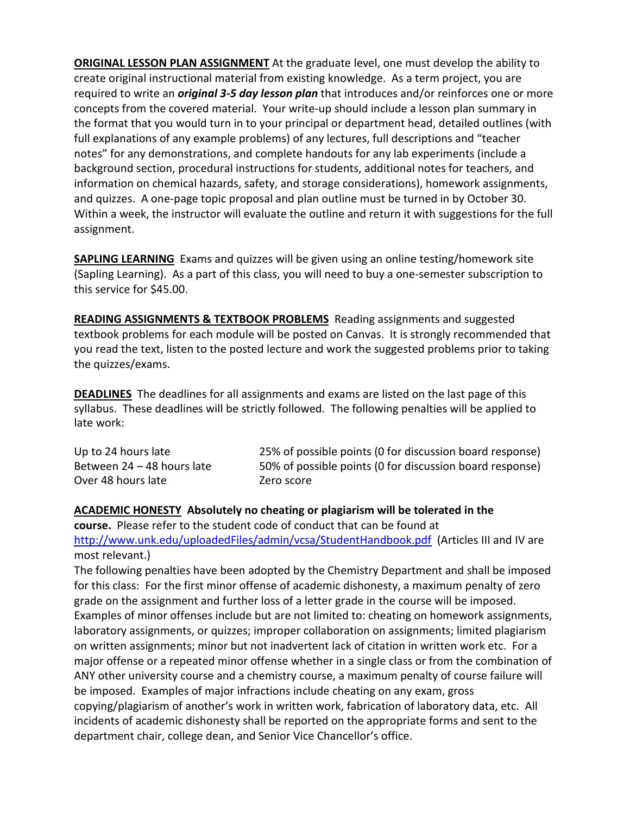**ORIGINAL LESSON PLAN ASSIGNMENT** At the graduate level, one must develop the ability to create original instructional material from existing knowledge. As a term project, you are required to write an *original 3-5 day lesson plan* that introduces and/or reinforces one or more concepts from the covered material. Your write-up should include a lesson plan summary in the format that you would turn in to your principal or department head, detailed outlines (with full explanations of any example problems) of any lectures, full descriptions and "teacher notes" for any demonstrations, and complete handouts for any lab experiments (include a background section, procedural instructions for students, additional notes for teachers, and information on chemical hazards, safety, and storage considerations), homework assignments, and quizzes. A one-page topic proposal and plan outline must be turned in by October 30. Within a week, the instructor will evaluate the outline and return it with suggestions for the full assignment.

**SAPLING LEARNING** Exams and quizzes will be given using an online testing/homework site (Sapling Learning). As a part of this class, you will need to buy a one-semester subscription to this service for \$45.00.

**READING ASSIGNMENTS & TEXTBOOK PROBLEMS** Reading assignments and suggested textbook problems for each module will be posted on Canvas. It is strongly recommended that you read the text, listen to the posted lecture and work the suggested problems prior to taking the quizzes/exams.

**DEADLINES** The deadlines for all assignments and exams are listed on the last page of this syllabus. These deadlines will be strictly followed. The following penalties will be applied to late work:

| Up to 24 hours late        | 25% of possible points (0 for discussion board response) |
|----------------------------|----------------------------------------------------------|
| Between 24 - 48 hours late | 50% of possible points (0 for discussion board response) |
| Over 48 hours late         | Zero score                                               |

#### **ACADEMIC HONESTY Absolutely no cheating or plagiarism will be tolerated in the**

**course.** Please refer to the student code of conduct that can be found at [http://www.unk.edu/uploadedFiles/admin/vcsa/StudentHandbook.pdf](https://ch1prd0710.outlook.com/owa/redir.aspx?C=OjowzAX17Ee8RHqrHQwgNQLJCMGhc9AIfOGFZ52gEB_uuAFPp0koINaKhRpeKRKyaWVtfIfDW5A.&URL=http%3a%2f%2fwww.unk.edu%2fuploadedFiles%2fadmin%2fvcsa%2fStudentHandbook.pdf) (Articles III and IV are most relevant.)

The following penalties have been adopted by the Chemistry Department and shall be imposed for this class: For the first minor offense of academic dishonesty, a maximum penalty of zero grade on the assignment and further loss of a letter grade in the course will be imposed. Examples of minor offenses include but are not limited to: cheating on homework assignments, laboratory assignments, or quizzes; improper collaboration on assignments; limited plagiarism on written assignments; minor but not inadvertent lack of citation in written work etc. For a major offense or a repeated minor offense whether in a single class or from the combination of ANY other university course and a chemistry course, a maximum penalty of course failure will be imposed. Examples of major infractions include cheating on any exam, gross copying/plagiarism of another's work in written work, fabrication of laboratory data, etc. All incidents of academic dishonesty shall be reported on the appropriate forms and sent to the department chair, college dean, and Senior Vice Chancellor's office.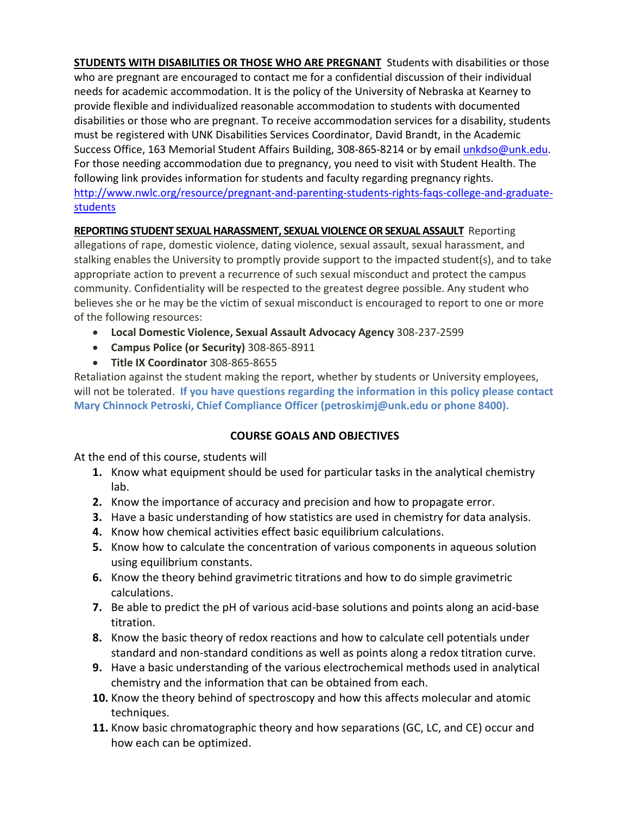**STUDENTS WITH DISABILITIES OR THOSE WHO ARE PREGNANT** Students with disabilities or those who are pregnant are encouraged to contact me for a confidential discussion of their individual needs for academic accommodation. It is the policy of the University of Nebraska at Kearney to provide flexible and individualized reasonable accommodation to students with documented disabilities or those who are pregnant. To receive accommodation services for a disability, students must be registered with UNK Disabilities Services Coordinator, David Brandt, in the Academic Success Office, 163 Memorial Student Affairs Building, 308-865-8214 or by email [unkdso@unk.edu.](mailto:unkdso@unk.edu) For those needing accommodation due to pregnancy, you need to visit with Student Health. The following link provides information for students and faculty regarding pregnancy rights. [http://www.nwlc.org/resource/pregnant-and-parenting-students-rights-faqs-college-and-graduate](https://urldefense.proofpoint.com/v2/url?u=http-3A__www.nwlc.org_resource_pregnant-2Dand-2Dparenting-2Dstudents-2Drights-2Dfaqs-2Dcollege-2Dand-2Dgraduate-2Dstudents&d=DwMFAg&c=9ZQuuHhOefNvAzlN-3viIA&r=r6SolI7o7_ONB7TuKwJXjA&m=tKYzVWzcNg-OgyecHTZdSHEnlPAWKgc2z6ez6qOphO0&s=CVbf8ep8jrj0Yl9MmfArm2RYRuBppYOU6RPqRWQxsG0&e=)[students](https://urldefense.proofpoint.com/v2/url?u=http-3A__www.nwlc.org_resource_pregnant-2Dand-2Dparenting-2Dstudents-2Drights-2Dfaqs-2Dcollege-2Dand-2Dgraduate-2Dstudents&d=DwMFAg&c=9ZQuuHhOefNvAzlN-3viIA&r=r6SolI7o7_ONB7TuKwJXjA&m=tKYzVWzcNg-OgyecHTZdSHEnlPAWKgc2z6ez6qOphO0&s=CVbf8ep8jrj0Yl9MmfArm2RYRuBppYOU6RPqRWQxsG0&e=)

## **REPORTING STUDENT SEXUAL HARASSMENT, SEXUAL VIOLENCE OR SEXUAL ASSAULT** Reporting

allegations of rape, domestic violence, dating violence, sexual assault, sexual harassment, and stalking enables the University to promptly provide support to the impacted student(s), and to take appropriate action to prevent a recurrence of such sexual misconduct and protect the campus community. Confidentiality will be respected to the greatest degree possible. Any student who believes she or he may be the victim of sexual misconduct is encouraged to report to one or more of the following resources:

- **Local Domestic Violence, Sexual Assault Advocacy Agency** 308-237-2599
- **Campus Police (or Security)** 308-865-8911
- **Title IX Coordinator** 308-865-8655

Retaliation against the student making the report, whether by students or University employees, will not be tolerated. **If you have questions regarding the information in this policy please contact Mary Chinnock Petroski, Chief Compliance Officer [\(petroskimj@unk.edu](mailto:petroskimj@unk.edu) or phone 8400).** 

#### **COURSE GOALS AND OBJECTIVES**

At the end of this course, students will

- **1.** Know what equipment should be used for particular tasks in the analytical chemistry lab.
- **2.** Know the importance of accuracy and precision and how to propagate error.
- **3.** Have a basic understanding of how statistics are used in chemistry for data analysis.
- **4.** Know how chemical activities effect basic equilibrium calculations.
- **5.** Know how to calculate the concentration of various components in aqueous solution using equilibrium constants.
- **6.** Know the theory behind gravimetric titrations and how to do simple gravimetric calculations.
- **7.** Be able to predict the pH of various acid-base solutions and points along an acid-base titration.
- **8.** Know the basic theory of redox reactions and how to calculate cell potentials under standard and non-standard conditions as well as points along a redox titration curve.
- **9.** Have a basic understanding of the various electrochemical methods used in analytical chemistry and the information that can be obtained from each.
- **10.** Know the theory behind of spectroscopy and how this affects molecular and atomic techniques.
- **11.** Know basic chromatographic theory and how separations (GC, LC, and CE) occur and how each can be optimized.